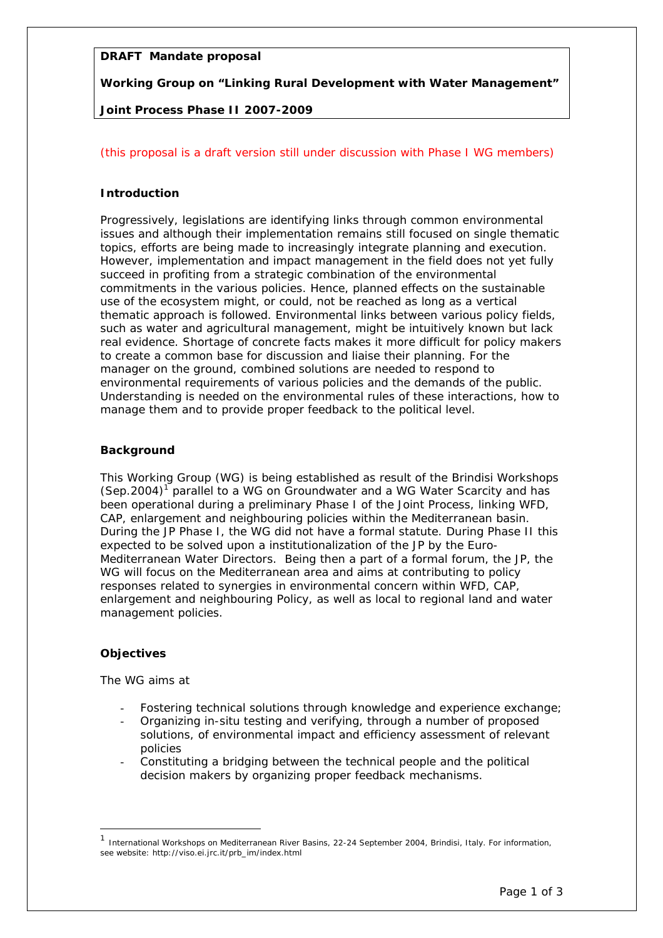# **DRAFT Mandate proposal**

**Working Group on "Linking Rural Development with Water Management"** 

# **Joint Process Phase II 2007-2009**

# (this proposal is a draft version still under discussion with Phase I WG members)

## **Introduction**

Progressively, legislations are identifying links through common environmental issues and although their implementation remains still focused on single thematic topics, efforts are being made to increasingly integrate planning and execution. However, implementation and impact management in the field does not yet fully succeed in profiting from a strategic combination of the environmental commitments in the various policies. Hence, planned effects on the sustainable use of the ecosystem might, or could, not be reached as long as a vertical thematic approach is followed. Environmental links between various policy fields, such as water and agricultural management, might be intuitively known but lack real evidence. Shortage of concrete facts makes it more difficult for policy makers to create a common base for discussion and liaise their planning. For the manager on the ground, combined solutions are needed to respond to environmental requirements of various policies and the demands of the public. Understanding is needed on the environmental rules of these interactions, how to manage them and to provide proper feedback to the political level.

## **Background**

This Working Group (WG) is being established as result of the Brindisi Workshops  $(Sep.2004)^1$  parallel to a WG on Groundwater and a WG Water Scarcity and has been operational during a preliminary Phase I of the Joint Process, linking WFD, CAP, enlargement and neighbouring policies within the Mediterranean basin. During the JP Phase I, the WG did not have a formal statute. During Phase II this expected to be solved upon a institutionalization of the JP by the Euro-Mediterranean Water Directors. Being then a part of a formal forum, the JP, the WG will focus on the Mediterranean area and aims at contributing to policy responses related to synergies in environmental concern within WFD, CAP, enlargement and neighbouring Policy, as well as local to regional land and water management policies.

## **Objectives**

1

The WG aims at

- Fostering technical solutions through knowledge and experience exchange;
- Organizing in-situ testing and verifying, through a number of proposed solutions, of environmental impact and efficiency assessment of relevant policies
- Constituting a bridging between the technical people and the political decision makers by organizing proper feedback mechanisms.

<sup>1</sup> International Workshops on Mediterranean River Basins, 22-24 September 2004, Brindisi, Italy. For information, see website: http://viso.ei.jrc.it/prb\_im/index.html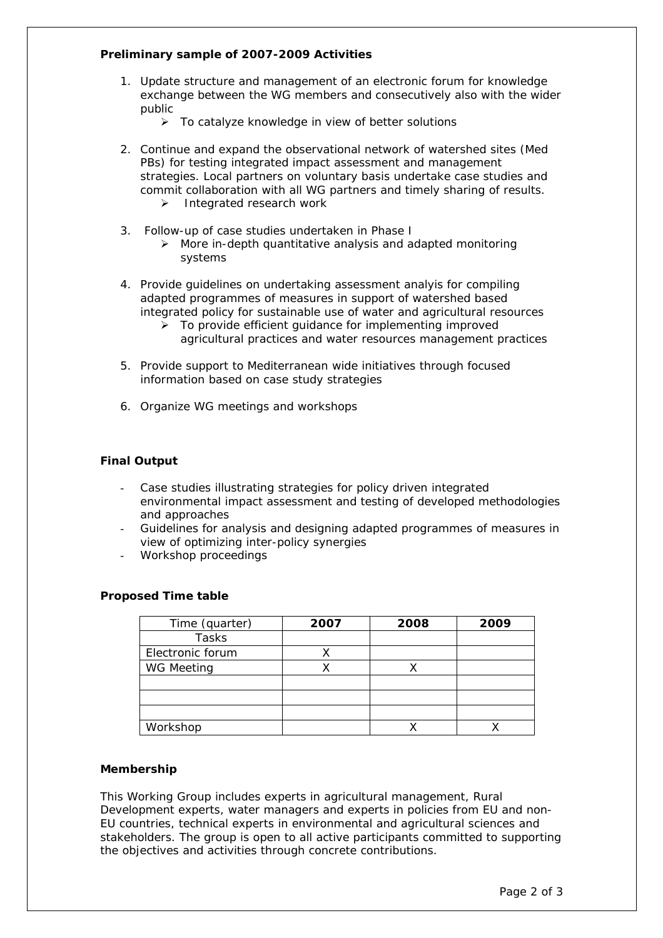# **Preliminary sample of 2007-2009 Activities**

- 1. Update structure and management of an electronic forum for knowledge exchange between the WG members and consecutively also with the wider public
	- $\triangleright$  To catalyze knowledge in view of better solutions
- 2. Continue and expand the observational network of watershed sites (Med PBs) for testing integrated impact assessment and management strategies. Local partners on voluntary basis undertake case studies and commit collaboration with all WG partners and timely sharing of results. ¾ Integrated research work
- 3. Follow-up of case studies undertaken in Phase I
	- $\triangleright$  More in-depth quantitative analysis and adapted monitoring systems
- 4. Provide guidelines on undertaking assessment analyis for compiling adapted programmes of measures in support of watershed based integrated policy for sustainable use of water and agricultural resources
	- $\triangleright$  To provide efficient quidance for implementing improved agricultural practices and water resources management practices
- 5. Provide support to Mediterranean wide initiatives through focused information based on case study strategies
- 6. Organize WG meetings and workshops

## **Final Output**

- Case studies illustrating strategies for policy driven integrated environmental impact assessment and testing of developed methodologies and approaches
- Guidelines for analysis and designing adapted programmes of measures in view of optimizing inter-policy synergies
- Workshop proceedings

## **Proposed Time table**

| Time (quarter)    | 2007 | 2008 | 2009 |
|-------------------|------|------|------|
| Tasks             |      |      |      |
| Electronic forum  |      |      |      |
| <b>WG Meeting</b> |      |      |      |
|                   |      |      |      |
|                   |      |      |      |
|                   |      |      |      |
| Workshop          |      |      |      |

#### **Membership**

This Working Group includes experts in agricultural management, Rural Development experts, water managers and experts in policies from EU and non-EU countries, technical experts in environmental and agricultural sciences and stakeholders. The group is open to all active participants committed to supporting the objectives and activities through concrete contributions.